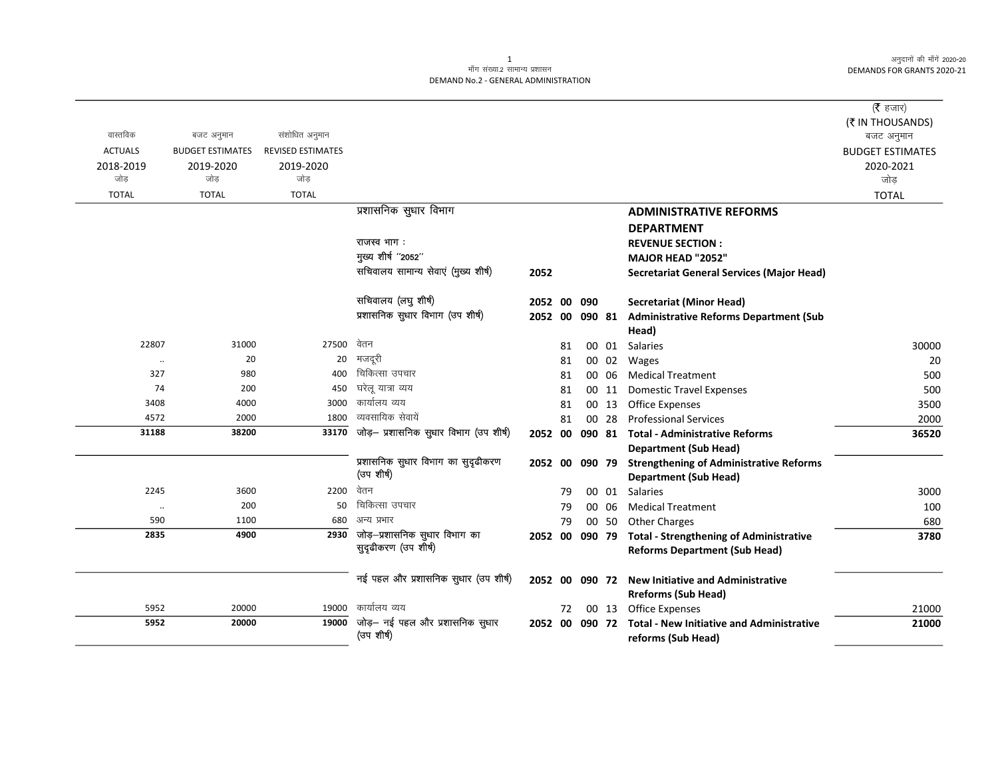अनुदानों की माँगें 2020-20 DEMANDS FOR GRANTS 2020-21

## .<br>माँग संख्या.2 सामान्य प्रशासन DEMAND No.2 - GENERAL ADMINISTRATION

| वास्तविक<br>संशोधित अनुमान<br>बजट अनुमान<br>बजट अनुमान<br><b>ACTUALS</b><br><b>BUDGET ESTIMATES</b><br><b>REVISED ESTIMATES</b><br><b>BUDGET ESTIMATES</b><br>2019-2020<br>2019-2020<br>2020-2021<br>2018-2019<br>जोड<br>जोड<br>जोड<br>जोड़<br><b>TOTAL</b><br><b>TOTAL</b><br><b>TOTAL</b><br><b>TOTAL</b><br>प्रशासनिक सुधार विभाग<br><b>ADMINISTRATIVE REFORMS</b><br><b>DEPARTMENT</b><br>राजस्व भाग:<br><b>REVENUE SECTION:</b><br>मुख्य शीर्ष "2052"<br>MAJOR HEAD "2052"<br>सचिवालय सामान्य सेवाएं (मुख्य शीर्ष)<br>2052<br><b>Secretariat General Services (Major Head)</b><br>सचिवालय (लघु शीर्ष)<br><b>Secretariat (Minor Head)</b><br>2052 00<br>090<br>प्रशासनिक सुधार विभाग (उप शीर्ष)<br><b>Administrative Reforms Department (Sub</b><br>2052 00<br>090 81<br>Head)<br>27500 वेतन<br>22807<br>31000<br>30000<br>81<br>00 01 Salaries<br>मजदूरी<br>20<br>20<br>00 02<br>20<br>81<br>Wages<br><br>चिकित्सा उपचार<br>327<br>980<br>400<br>00 06<br><b>Medical Treatment</b><br>500<br>81<br>घरेलू यात्रा व्यय<br>200<br>450<br>74<br><b>Domestic Travel Expenses</b><br>500<br>81<br>00 11<br>कार्यालय व्यय<br>3408<br>4000<br>3000<br>00 13<br><b>Office Expenses</b><br>3500<br>81<br>व्यवसायिक सेवायें<br>4572<br>2000<br>1800<br>00 28<br><b>Professional Services</b><br>2000<br>81<br>जोड़— प्रशासनिक सुधार विभाग (उप शीर्ष)<br>33170<br>31188<br>38200<br>36520<br>2052 00<br>090 81<br><b>Total - Administrative Reforms</b><br><b>Department (Sub Head)</b><br>प्रशासनिक सुधार विभाग का सुदृढीकरण<br>090 79<br><b>Strengthening of Administrative Reforms</b><br>2052 00<br>(उप शीर्ष)<br><b>Department (Sub Head)</b><br>वेतन<br>2200<br>2245<br>3600<br>00 01 Salaries<br>3000<br>79<br>चिकित्सा उपचार<br>200<br>50<br>100<br>79<br>00 06<br><b>Medical Treatment</b><br>$\ddotsc$<br>590<br>1100<br>680<br>अन्य प्रभार<br><b>Other Charges</b><br>79<br>00 50<br>680<br>$\overline{2930}$ जोड़-प्रशासनिक सुधार विभाग का<br>2835<br>4900<br>3780<br>2052 00<br>090 79<br><b>Total - Strengthening of Administrative</b><br>सुदृढीकरण (उप शीर्ष)<br><b>Reforms Department (Sub Head)</b><br>नई पहल और प्रशासनिक सुधार (उप शीर्ष)<br>2052 00 090 72 New Initiative and Administrative<br><b>Rreforms (Sub Head)</b><br>कार्यालय व्यय<br>5952<br>20000<br>19000<br>00 13 Office Expenses<br>21000<br>72<br>जोड़— नई पहल और प्रशासनिक सुधार<br>5952<br>19000<br>20000<br><b>Total - New Initiative and Administrative</b><br>21000<br>2052 00<br>090 72<br>(उप शीर्ष)<br>reforms (Sub Head) |  |  |  |  | ( $\bar{\tau}$ हजार) |
|----------------------------------------------------------------------------------------------------------------------------------------------------------------------------------------------------------------------------------------------------------------------------------------------------------------------------------------------------------------------------------------------------------------------------------------------------------------------------------------------------------------------------------------------------------------------------------------------------------------------------------------------------------------------------------------------------------------------------------------------------------------------------------------------------------------------------------------------------------------------------------------------------------------------------------------------------------------------------------------------------------------------------------------------------------------------------------------------------------------------------------------------------------------------------------------------------------------------------------------------------------------------------------------------------------------------------------------------------------------------------------------------------------------------------------------------------------------------------------------------------------------------------------------------------------------------------------------------------------------------------------------------------------------------------------------------------------------------------------------------------------------------------------------------------------------------------------------------------------------------------------------------------------------------------------------------------------------------------------------------------------------------------------------------------------------------------------------------------------------------------------------------------------------------------------------------------------------------------------------------------------------------------------------------------------------------------------------------------------------------------------------------------------------------------------------------------------------------------------------------------------------|--|--|--|--|----------------------|
|                                                                                                                                                                                                                                                                                                                                                                                                                                                                                                                                                                                                                                                                                                                                                                                                                                                                                                                                                                                                                                                                                                                                                                                                                                                                                                                                                                                                                                                                                                                                                                                                                                                                                                                                                                                                                                                                                                                                                                                                                                                                                                                                                                                                                                                                                                                                                                                                                                                                                                                |  |  |  |  | (₹ IN THOUSANDS)     |
|                                                                                                                                                                                                                                                                                                                                                                                                                                                                                                                                                                                                                                                                                                                                                                                                                                                                                                                                                                                                                                                                                                                                                                                                                                                                                                                                                                                                                                                                                                                                                                                                                                                                                                                                                                                                                                                                                                                                                                                                                                                                                                                                                                                                                                                                                                                                                                                                                                                                                                                |  |  |  |  |                      |
|                                                                                                                                                                                                                                                                                                                                                                                                                                                                                                                                                                                                                                                                                                                                                                                                                                                                                                                                                                                                                                                                                                                                                                                                                                                                                                                                                                                                                                                                                                                                                                                                                                                                                                                                                                                                                                                                                                                                                                                                                                                                                                                                                                                                                                                                                                                                                                                                                                                                                                                |  |  |  |  |                      |
|                                                                                                                                                                                                                                                                                                                                                                                                                                                                                                                                                                                                                                                                                                                                                                                                                                                                                                                                                                                                                                                                                                                                                                                                                                                                                                                                                                                                                                                                                                                                                                                                                                                                                                                                                                                                                                                                                                                                                                                                                                                                                                                                                                                                                                                                                                                                                                                                                                                                                                                |  |  |  |  |                      |
|                                                                                                                                                                                                                                                                                                                                                                                                                                                                                                                                                                                                                                                                                                                                                                                                                                                                                                                                                                                                                                                                                                                                                                                                                                                                                                                                                                                                                                                                                                                                                                                                                                                                                                                                                                                                                                                                                                                                                                                                                                                                                                                                                                                                                                                                                                                                                                                                                                                                                                                |  |  |  |  |                      |
|                                                                                                                                                                                                                                                                                                                                                                                                                                                                                                                                                                                                                                                                                                                                                                                                                                                                                                                                                                                                                                                                                                                                                                                                                                                                                                                                                                                                                                                                                                                                                                                                                                                                                                                                                                                                                                                                                                                                                                                                                                                                                                                                                                                                                                                                                                                                                                                                                                                                                                                |  |  |  |  |                      |
|                                                                                                                                                                                                                                                                                                                                                                                                                                                                                                                                                                                                                                                                                                                                                                                                                                                                                                                                                                                                                                                                                                                                                                                                                                                                                                                                                                                                                                                                                                                                                                                                                                                                                                                                                                                                                                                                                                                                                                                                                                                                                                                                                                                                                                                                                                                                                                                                                                                                                                                |  |  |  |  |                      |
|                                                                                                                                                                                                                                                                                                                                                                                                                                                                                                                                                                                                                                                                                                                                                                                                                                                                                                                                                                                                                                                                                                                                                                                                                                                                                                                                                                                                                                                                                                                                                                                                                                                                                                                                                                                                                                                                                                                                                                                                                                                                                                                                                                                                                                                                                                                                                                                                                                                                                                                |  |  |  |  |                      |
|                                                                                                                                                                                                                                                                                                                                                                                                                                                                                                                                                                                                                                                                                                                                                                                                                                                                                                                                                                                                                                                                                                                                                                                                                                                                                                                                                                                                                                                                                                                                                                                                                                                                                                                                                                                                                                                                                                                                                                                                                                                                                                                                                                                                                                                                                                                                                                                                                                                                                                                |  |  |  |  |                      |
|                                                                                                                                                                                                                                                                                                                                                                                                                                                                                                                                                                                                                                                                                                                                                                                                                                                                                                                                                                                                                                                                                                                                                                                                                                                                                                                                                                                                                                                                                                                                                                                                                                                                                                                                                                                                                                                                                                                                                                                                                                                                                                                                                                                                                                                                                                                                                                                                                                                                                                                |  |  |  |  |                      |
|                                                                                                                                                                                                                                                                                                                                                                                                                                                                                                                                                                                                                                                                                                                                                                                                                                                                                                                                                                                                                                                                                                                                                                                                                                                                                                                                                                                                                                                                                                                                                                                                                                                                                                                                                                                                                                                                                                                                                                                                                                                                                                                                                                                                                                                                                                                                                                                                                                                                                                                |  |  |  |  |                      |
|                                                                                                                                                                                                                                                                                                                                                                                                                                                                                                                                                                                                                                                                                                                                                                                                                                                                                                                                                                                                                                                                                                                                                                                                                                                                                                                                                                                                                                                                                                                                                                                                                                                                                                                                                                                                                                                                                                                                                                                                                                                                                                                                                                                                                                                                                                                                                                                                                                                                                                                |  |  |  |  |                      |
|                                                                                                                                                                                                                                                                                                                                                                                                                                                                                                                                                                                                                                                                                                                                                                                                                                                                                                                                                                                                                                                                                                                                                                                                                                                                                                                                                                                                                                                                                                                                                                                                                                                                                                                                                                                                                                                                                                                                                                                                                                                                                                                                                                                                                                                                                                                                                                                                                                                                                                                |  |  |  |  |                      |
|                                                                                                                                                                                                                                                                                                                                                                                                                                                                                                                                                                                                                                                                                                                                                                                                                                                                                                                                                                                                                                                                                                                                                                                                                                                                                                                                                                                                                                                                                                                                                                                                                                                                                                                                                                                                                                                                                                                                                                                                                                                                                                                                                                                                                                                                                                                                                                                                                                                                                                                |  |  |  |  |                      |
|                                                                                                                                                                                                                                                                                                                                                                                                                                                                                                                                                                                                                                                                                                                                                                                                                                                                                                                                                                                                                                                                                                                                                                                                                                                                                                                                                                                                                                                                                                                                                                                                                                                                                                                                                                                                                                                                                                                                                                                                                                                                                                                                                                                                                                                                                                                                                                                                                                                                                                                |  |  |  |  |                      |
|                                                                                                                                                                                                                                                                                                                                                                                                                                                                                                                                                                                                                                                                                                                                                                                                                                                                                                                                                                                                                                                                                                                                                                                                                                                                                                                                                                                                                                                                                                                                                                                                                                                                                                                                                                                                                                                                                                                                                                                                                                                                                                                                                                                                                                                                                                                                                                                                                                                                                                                |  |  |  |  |                      |
|                                                                                                                                                                                                                                                                                                                                                                                                                                                                                                                                                                                                                                                                                                                                                                                                                                                                                                                                                                                                                                                                                                                                                                                                                                                                                                                                                                                                                                                                                                                                                                                                                                                                                                                                                                                                                                                                                                                                                                                                                                                                                                                                                                                                                                                                                                                                                                                                                                                                                                                |  |  |  |  |                      |
|                                                                                                                                                                                                                                                                                                                                                                                                                                                                                                                                                                                                                                                                                                                                                                                                                                                                                                                                                                                                                                                                                                                                                                                                                                                                                                                                                                                                                                                                                                                                                                                                                                                                                                                                                                                                                                                                                                                                                                                                                                                                                                                                                                                                                                                                                                                                                                                                                                                                                                                |  |  |  |  |                      |
|                                                                                                                                                                                                                                                                                                                                                                                                                                                                                                                                                                                                                                                                                                                                                                                                                                                                                                                                                                                                                                                                                                                                                                                                                                                                                                                                                                                                                                                                                                                                                                                                                                                                                                                                                                                                                                                                                                                                                                                                                                                                                                                                                                                                                                                                                                                                                                                                                                                                                                                |  |  |  |  |                      |
|                                                                                                                                                                                                                                                                                                                                                                                                                                                                                                                                                                                                                                                                                                                                                                                                                                                                                                                                                                                                                                                                                                                                                                                                                                                                                                                                                                                                                                                                                                                                                                                                                                                                                                                                                                                                                                                                                                                                                                                                                                                                                                                                                                                                                                                                                                                                                                                                                                                                                                                |  |  |  |  |                      |
|                                                                                                                                                                                                                                                                                                                                                                                                                                                                                                                                                                                                                                                                                                                                                                                                                                                                                                                                                                                                                                                                                                                                                                                                                                                                                                                                                                                                                                                                                                                                                                                                                                                                                                                                                                                                                                                                                                                                                                                                                                                                                                                                                                                                                                                                                                                                                                                                                                                                                                                |  |  |  |  |                      |
|                                                                                                                                                                                                                                                                                                                                                                                                                                                                                                                                                                                                                                                                                                                                                                                                                                                                                                                                                                                                                                                                                                                                                                                                                                                                                                                                                                                                                                                                                                                                                                                                                                                                                                                                                                                                                                                                                                                                                                                                                                                                                                                                                                                                                                                                                                                                                                                                                                                                                                                |  |  |  |  |                      |
|                                                                                                                                                                                                                                                                                                                                                                                                                                                                                                                                                                                                                                                                                                                                                                                                                                                                                                                                                                                                                                                                                                                                                                                                                                                                                                                                                                                                                                                                                                                                                                                                                                                                                                                                                                                                                                                                                                                                                                                                                                                                                                                                                                                                                                                                                                                                                                                                                                                                                                                |  |  |  |  |                      |
|                                                                                                                                                                                                                                                                                                                                                                                                                                                                                                                                                                                                                                                                                                                                                                                                                                                                                                                                                                                                                                                                                                                                                                                                                                                                                                                                                                                                                                                                                                                                                                                                                                                                                                                                                                                                                                                                                                                                                                                                                                                                                                                                                                                                                                                                                                                                                                                                                                                                                                                |  |  |  |  |                      |
|                                                                                                                                                                                                                                                                                                                                                                                                                                                                                                                                                                                                                                                                                                                                                                                                                                                                                                                                                                                                                                                                                                                                                                                                                                                                                                                                                                                                                                                                                                                                                                                                                                                                                                                                                                                                                                                                                                                                                                                                                                                                                                                                                                                                                                                                                                                                                                                                                                                                                                                |  |  |  |  |                      |
|                                                                                                                                                                                                                                                                                                                                                                                                                                                                                                                                                                                                                                                                                                                                                                                                                                                                                                                                                                                                                                                                                                                                                                                                                                                                                                                                                                                                                                                                                                                                                                                                                                                                                                                                                                                                                                                                                                                                                                                                                                                                                                                                                                                                                                                                                                                                                                                                                                                                                                                |  |  |  |  |                      |
|                                                                                                                                                                                                                                                                                                                                                                                                                                                                                                                                                                                                                                                                                                                                                                                                                                                                                                                                                                                                                                                                                                                                                                                                                                                                                                                                                                                                                                                                                                                                                                                                                                                                                                                                                                                                                                                                                                                                                                                                                                                                                                                                                                                                                                                                                                                                                                                                                                                                                                                |  |  |  |  |                      |
|                                                                                                                                                                                                                                                                                                                                                                                                                                                                                                                                                                                                                                                                                                                                                                                                                                                                                                                                                                                                                                                                                                                                                                                                                                                                                                                                                                                                                                                                                                                                                                                                                                                                                                                                                                                                                                                                                                                                                                                                                                                                                                                                                                                                                                                                                                                                                                                                                                                                                                                |  |  |  |  |                      |
|                                                                                                                                                                                                                                                                                                                                                                                                                                                                                                                                                                                                                                                                                                                                                                                                                                                                                                                                                                                                                                                                                                                                                                                                                                                                                                                                                                                                                                                                                                                                                                                                                                                                                                                                                                                                                                                                                                                                                                                                                                                                                                                                                                                                                                                                                                                                                                                                                                                                                                                |  |  |  |  |                      |
|                                                                                                                                                                                                                                                                                                                                                                                                                                                                                                                                                                                                                                                                                                                                                                                                                                                                                                                                                                                                                                                                                                                                                                                                                                                                                                                                                                                                                                                                                                                                                                                                                                                                                                                                                                                                                                                                                                                                                                                                                                                                                                                                                                                                                                                                                                                                                                                                                                                                                                                |  |  |  |  |                      |
|                                                                                                                                                                                                                                                                                                                                                                                                                                                                                                                                                                                                                                                                                                                                                                                                                                                                                                                                                                                                                                                                                                                                                                                                                                                                                                                                                                                                                                                                                                                                                                                                                                                                                                                                                                                                                                                                                                                                                                                                                                                                                                                                                                                                                                                                                                                                                                                                                                                                                                                |  |  |  |  |                      |
|                                                                                                                                                                                                                                                                                                                                                                                                                                                                                                                                                                                                                                                                                                                                                                                                                                                                                                                                                                                                                                                                                                                                                                                                                                                                                                                                                                                                                                                                                                                                                                                                                                                                                                                                                                                                                                                                                                                                                                                                                                                                                                                                                                                                                                                                                                                                                                                                                                                                                                                |  |  |  |  |                      |
|                                                                                                                                                                                                                                                                                                                                                                                                                                                                                                                                                                                                                                                                                                                                                                                                                                                                                                                                                                                                                                                                                                                                                                                                                                                                                                                                                                                                                                                                                                                                                                                                                                                                                                                                                                                                                                                                                                                                                                                                                                                                                                                                                                                                                                                                                                                                                                                                                                                                                                                |  |  |  |  |                      |
|                                                                                                                                                                                                                                                                                                                                                                                                                                                                                                                                                                                                                                                                                                                                                                                                                                                                                                                                                                                                                                                                                                                                                                                                                                                                                                                                                                                                                                                                                                                                                                                                                                                                                                                                                                                                                                                                                                                                                                                                                                                                                                                                                                                                                                                                                                                                                                                                                                                                                                                |  |  |  |  |                      |

 $\mathbf{1}$